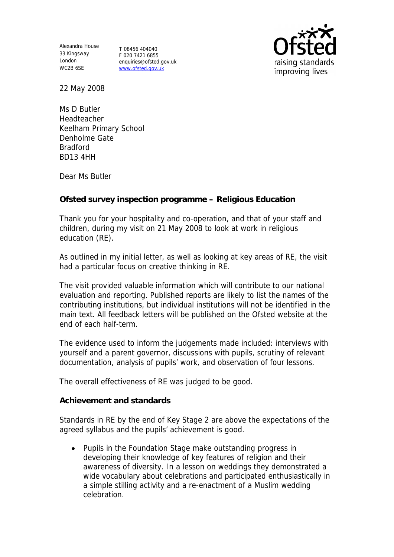Alexandra House 33 Kingsway London WC2B 6SE

T 08456 404040 F 020 7421 6855 enquiries@ofsted.gov.uk www.ofsted.gov.uk



22 May 2008

Ms D Butler Headteacher Keelham Primary School Denholme Gate Bradford BD13 4HH

Dear Ms Butler

**Ofsted survey inspection programme – Religious Education** 

Thank you for your hospitality and co-operation, and that of your staff and children, during my visit on 21 May 2008 to look at work in religious education (RE).

As outlined in my initial letter, as well as looking at key areas of RE, the visit had a particular focus on creative thinking in RE.

The visit provided valuable information which will contribute to our national evaluation and reporting. Published reports are likely to list the names of the contributing institutions, but individual institutions will not be identified in the main text. All feedback letters will be published on the Ofsted website at the end of each half-term.

The evidence used to inform the judgements made included: interviews with yourself and a parent governor, discussions with pupils, scrutiny of relevant documentation, analysis of pupils' work, and observation of four lessons.

The overall effectiveness of RE was judged to be good.

**Achievement and standards** 

Standards in RE by the end of Key Stage 2 are above the expectations of the agreed syllabus and the pupils' achievement is good.

• Pupils in the Foundation Stage make outstanding progress in developing their knowledge of key features of religion and their awareness of diversity. In a lesson on weddings they demonstrated a wide vocabulary about celebrations and participated enthusiastically in a simple stilling activity and a re-enactment of a Muslim wedding celebration.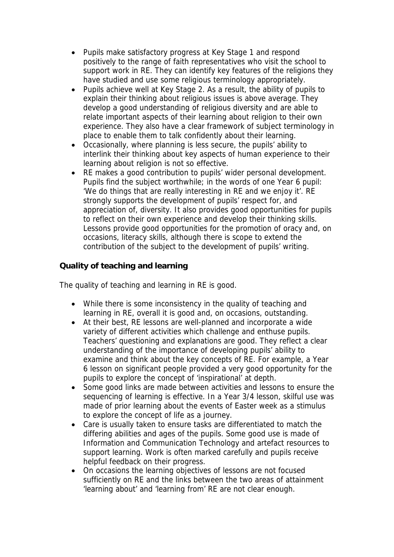- Pupils make satisfactory progress at Key Stage 1 and respond positively to the range of faith representatives who visit the school to support work in RE. They can identify key features of the religions they have studied and use some religious terminology appropriately.
- Pupils achieve well at Key Stage 2. As a result, the ability of pupils to explain their thinking about religious issues is above average. They develop a good understanding of religious diversity and are able to relate important aspects of their learning about religion to their own experience. They also have a clear framework of subject terminology in place to enable them to talk confidently about their learning.
- Occasionally, where planning is less secure, the pupils' ability to interlink their thinking about key aspects of human experience to their learning about religion is not so effective.
- RE makes a good contribution to pupils' wider personal development. Pupils find the subject worthwhile; in the words of one Year 6 pupil: 'We do things that are really interesting in RE and we enjoy it'. RE strongly supports the development of pupils' respect for, and appreciation of, diversity. It also provides good opportunities for pupils to reflect on their own experience and develop their thinking skills. Lessons provide good opportunities for the promotion of oracy and, on occasions, literacy skills, although there is scope to extend the contribution of the subject to the development of pupils' writing.

**Quality of teaching and learning** 

The quality of teaching and learning in RE is good.

- While there is some inconsistency in the quality of teaching and learning in RE, overall it is good and, on occasions, outstanding.
- At their best, RE lessons are well-planned and incorporate a wide variety of different activities which challenge and enthuse pupils. Teachers' questioning and explanations are good. They reflect a clear understanding of the importance of developing pupils' ability to examine and think about the key concepts of RE. For example, a Year 6 lesson on significant people provided a very good opportunity for the pupils to explore the concept of 'inspirational' at depth.
- Some good links are made between activities and lessons to ensure the sequencing of learning is effective. In a Year 3/4 lesson, skilful use was made of prior learning about the events of Easter week as a stimulus to explore the concept of life as a journey.
- Care is usually taken to ensure tasks are differentiated to match the differing abilities and ages of the pupils. Some good use is made of Information and Communication Technology and artefact resources to support learning. Work is often marked carefully and pupils receive helpful feedback on their progress.
- On occasions the learning objectives of lessons are not focused sufficiently on RE and the links between the two areas of attainment 'learning about' and 'learning from' RE are not clear enough.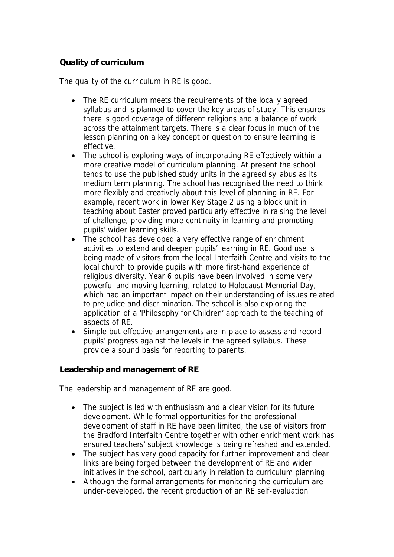## **Quality of curriculum**

The quality of the curriculum in RE is good.

- The RE curriculum meets the requirements of the locally agreed syllabus and is planned to cover the key areas of study. This ensures there is good coverage of different religions and a balance of work across the attainment targets. There is a clear focus in much of the lesson planning on a key concept or question to ensure learning is effective.
- The school is exploring ways of incorporating RE effectively within a more creative model of curriculum planning. At present the school tends to use the published study units in the agreed syllabus as its medium term planning. The school has recognised the need to think more flexibly and creatively about this level of planning in RE. For example, recent work in lower Key Stage 2 using a block unit in teaching about Easter proved particularly effective in raising the level of challenge, providing more continuity in learning and promoting pupils' wider learning skills.
- The school has developed a very effective range of enrichment activities to extend and deepen pupils' learning in RE. Good use is being made of visitors from the local Interfaith Centre and visits to the local church to provide pupils with more first-hand experience of religious diversity. Year 6 pupils have been involved in some very powerful and moving learning, related to Holocaust Memorial Day, which had an important impact on their understanding of issues related to prejudice and discrimination. The school is also exploring the application of a 'Philosophy for Children' approach to the teaching of aspects of RE.
- Simple but effective arrangements are in place to assess and record pupils' progress against the levels in the agreed syllabus. These provide a sound basis for reporting to parents.

**Leadership and management of RE**

The leadership and management of RE are good.

- The subject is led with enthusiasm and a clear vision for its future development. While formal opportunities for the professional development of staff in RE have been limited, the use of visitors from the Bradford Interfaith Centre together with other enrichment work has ensured teachers' subject knowledge is being refreshed and extended.
- The subject has very good capacity for further improvement and clear links are being forged between the development of RE and wider initiatives in the school, particularly in relation to curriculum planning.
- Although the formal arrangements for monitoring the curriculum are under-developed, the recent production of an RE self-evaluation